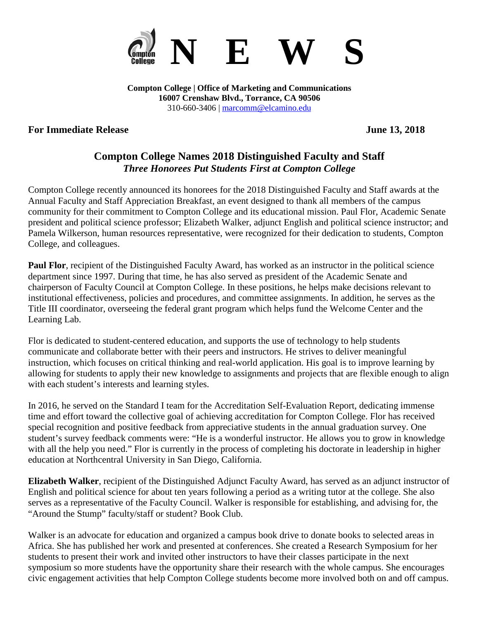

**Compton College | Office of Marketing and Communications 16007 Crenshaw Blvd., Torrance, CA 90506** 310-660-3406 | [marcomm@elcamino.edu](mailto:marcomm@elcamino.edu)

## **For Immediate Release June 13, 2018**

# **Compton College Names 2018 Distinguished Faculty and Staff** *Three Honorees Put Students First at Compton College*

Compton College recently announced its honorees for the 2018 Distinguished Faculty and Staff awards at the Annual Faculty and Staff Appreciation Breakfast, an event designed to thank all members of the campus community for their commitment to Compton College and its educational mission. Paul Flor, Academic Senate president and political science professor; Elizabeth Walker, adjunct English and political science instructor; and Pamela Wilkerson, human resources representative, were recognized for their dedication to students, Compton College, and colleagues.

**Paul Flor**, recipient of the Distinguished Faculty Award, has worked as an instructor in the political science department since 1997. During that time, he has also served as president of the Academic Senate and chairperson of Faculty Council at Compton College. In these positions, he helps make decisions relevant to institutional effectiveness, policies and procedures, and committee assignments. In addition, he serves as the Title III coordinator, overseeing the federal grant program which helps fund the Welcome Center and the Learning Lab.

Flor is dedicated to student-centered education, and supports the use of technology to help students communicate and collaborate better with their peers and instructors. He strives to deliver meaningful instruction, which focuses on critical thinking and real-world application. His goal is to improve learning by allowing for students to apply their new knowledge to assignments and projects that are flexible enough to align with each student's interests and learning styles.

In 2016, he served on the Standard I team for the Accreditation Self-Evaluation Report, dedicating immense time and effort toward the collective goal of achieving accreditation for Compton College. Flor has received special recognition and positive feedback from appreciative students in the annual graduation survey. One student's survey feedback comments were: "He is a wonderful instructor. He allows you to grow in knowledge with all the help you need." Flor is currently in the process of completing his doctorate in leadership in higher education at Northcentral University in San Diego, California.

**Elizabeth Walker**, recipient of the Distinguished Adjunct Faculty Award, has served as an adjunct instructor of English and political science for about ten years following a period as a writing tutor at the college. She also serves as a representative of the Faculty Council. Walker is responsible for establishing, and advising for, the "Around the Stump" faculty/staff or student? Book Club.

Walker is an advocate for education and organized a campus book drive to donate books to selected areas in Africa. She has published her work and presented at conferences. She created a Research Symposium for her students to present their work and invited other instructors to have their classes participate in the next symposium so more students have the opportunity share their research with the whole campus. She encourages civic engagement activities that help Compton College students become more involved both on and off campus.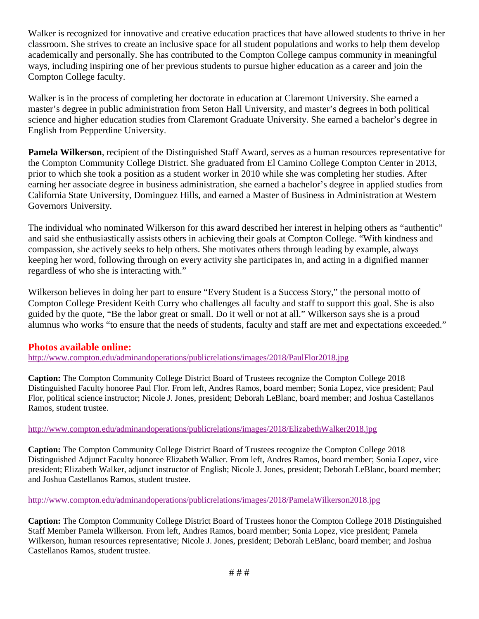Walker is recognized for innovative and creative education practices that have allowed students to thrive in her classroom. She strives to create an inclusive space for all student populations and works to help them develop academically and personally. She has contributed to the Compton College campus community in meaningful ways, including inspiring one of her previous students to pursue higher education as a career and join the Compton College faculty.

Walker is in the process of completing her doctorate in education at Claremont University. She earned a master's degree in public administration from Seton Hall University, and master's degrees in both political science and higher education studies from Claremont Graduate University. She earned a bachelor's degree in English from Pepperdine University.

**Pamela Wilkerson**, recipient of the Distinguished Staff Award, serves as a human resources representative for the Compton Community College District. She graduated from El Camino College Compton Center in 2013, prior to which she took a position as a student worker in 2010 while she was completing her studies. After earning her associate degree in business administration, she earned a bachelor's degree in applied studies from California State University, Dominguez Hills, and earned a Master of Business in Administration at Western Governors University.

The individual who nominated Wilkerson for this award described her interest in helping others as "authentic" and said she enthusiastically assists others in achieving their goals at Compton College. "With kindness and compassion, she actively seeks to help others. She motivates others through leading by example, always keeping her word, following through on every activity she participates in, and acting in a dignified manner regardless of who she is interacting with."

Wilkerson believes in doing her part to ensure "Every Student is a Success Story," the personal motto of Compton College President Keith Curry who challenges all faculty and staff to support this goal. She is also guided by the quote, "Be the labor great or small. Do it well or not at all." Wilkerson says she is a proud alumnus who works "to ensure that the needs of students, faculty and staff are met and expectations exceeded."

### **Photos available online:**

<http://www.compton.edu/adminandoperations/publicrelations/images/2018/PaulFlor2018.jpg>

**Caption:** The Compton Community College District Board of Trustees recognize the Compton College 2018 Distinguished Faculty honoree Paul Flor. From left, Andres Ramos, board member; Sonia Lopez, vice president; Paul Flor, political science instructor; Nicole J. Jones, president; Deborah LeBlanc, board member; and Joshua Castellanos Ramos, student trustee.

### <http://www.compton.edu/adminandoperations/publicrelations/images/2018/ElizabethWalker2018.jpg>

**Caption:** The Compton Community College District Board of Trustees recognize the Compton College 2018 Distinguished Adjunct Faculty honoree Elizabeth Walker. From left, Andres Ramos, board member; Sonia Lopez, vice president; Elizabeth Walker, adjunct instructor of English; Nicole J. Jones, president; Deborah LeBlanc, board member; and Joshua Castellanos Ramos, student trustee.

#### <http://www.compton.edu/adminandoperations/publicrelations/images/2018/PamelaWilkerson2018.jpg>

**Caption:** The Compton Community College District Board of Trustees honor the Compton College 2018 Distinguished Staff Member Pamela Wilkerson. From left, Andres Ramos, board member; Sonia Lopez, vice president; Pamela Wilkerson, human resources representative; Nicole J. Jones, president; Deborah LeBlanc, board member; and Joshua Castellanos Ramos, student trustee.